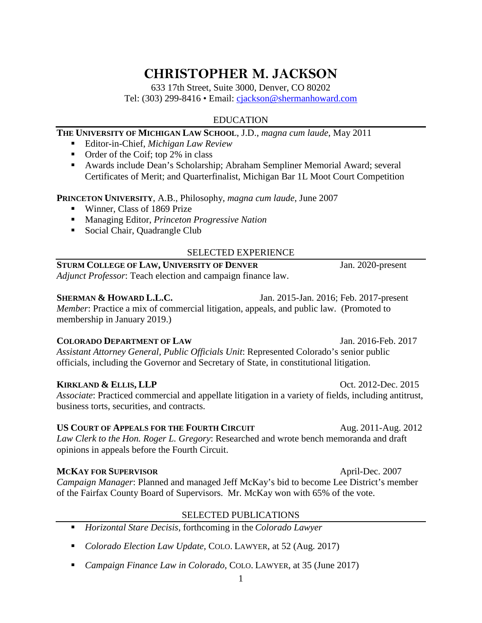# **CHRISTOPHER M. JACKSON**

633 17th Street, Suite 3000, Denver, CO 80202 Tel: (303) 299-8416 • Email: [cjackson@shermanhoward.com](mailto:cjackson@shermanhoward.com)

# EDUCATION

#### **THE UNIVERSITY OF MICHIGAN LAW SCHOOL**, J.D., *magna cum laude*, May 2011

- Editor-in-Chief, *Michigan Law Review*
- $\blacksquare$  Order of the Coif; top 2% in class
- Awards include Dean's Scholarship; Abraham Sempliner Memorial Award; several Certificates of Merit; and Quarterfinalist, Michigan Bar 1L Moot Court Competition

**PRINCETON UNIVERSITY**, A.B., Philosophy, *magna cum laude*, June 2007

- Winner, Class of 1869 Prize
- Managing Editor, *Princeton Progressive Nation*
- **Social Chair, Quadrangle Club**

### SELECTED EXPERIENCE

## **STURM COLLEGE OF LAW, UNIVERSITY OF DENVER** Jan. 2020-present

*Adjunct Professor*: Teach election and campaign finance law.

### **SHERMAN & HOWARD L.L.C.** Jan. 2015-Jan. 2016; Feb. 2017-present

*Member*: Practice a mix of commercial litigation, appeals, and public law. (Promoted to membership in January 2019.)

### **COLORADO DEPARTMENT OF LAW** Jan. 2016-Feb. 2017

*Assistant Attorney General, Public Officials Unit*: Represented Colorado's senior public officials, including the Governor and Secretary of State, in constitutional litigation.

### **KIRKLAND & ELLIS, LLP** Oct. 2012-Dec. 2015

*Associate*: Practiced commercial and appellate litigation in a variety of fields, including antitrust, business torts, securities, and contracts.

#### US COURT OF APPEALS FOR THE FOURTH CIRCUIT Aug. 2011-Aug. 2012 *Law Clerk to the Hon. Roger L. Gregory*: Researched and wrote bench memoranda and draft

opinions in appeals before the Fourth Circuit.

### **MCKAY FOR SUPERVISOR** April-Dec. 2007

*Campaign Manager*: Planned and managed Jeff McKay's bid to become Lee District's member of the Fairfax County Board of Supervisors. Mr. McKay won with 65% of the vote.

# SELECTED PUBLICATIONS

- *Horizontal Stare Decisis*, forthcoming in the *Colorado Lawyer*
- *Colorado Election Law Update, COLO. LAWYER, at 52 (Aug. 2017)*
- *Campaign Finance Law in Colorado*, COLO. LAWYER, at 35 (June 2017)